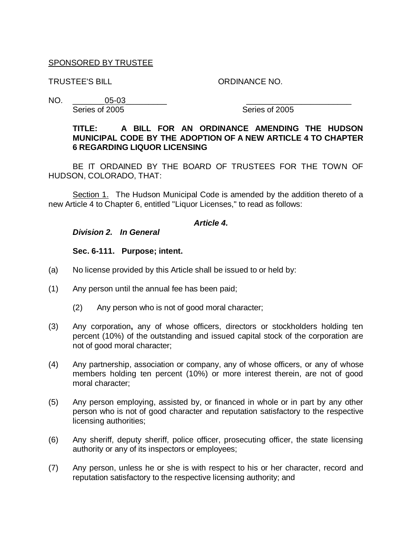### SPONSORED BY TRUSTEE

TRUSTEE'S BILL ORDINANCE NO.

NO. \_\_\_\_\_\_\_05-03\_\_\_\_\_\_\_\_\_ \_\_\_\_\_\_\_\_\_\_\_\_\_\_\_\_\_\_\_\_\_\_\_ Series of 2005 Series of 2005

### **TITLE: A BILL FOR AN ORDINANCE AMENDING THE HUDSON MUNICIPAL CODE BY THE ADOPTION OF A NEW ARTICLE 4 TO CHAPTER 6 REGARDING LIQUOR LICENSING**

BE IT ORDAINED BY THE BOARD OF TRUSTEES FOR THE TOWN OF HUDSON, COLORADO, THAT:

Section 1. The Hudson Municipal Code is amended by the addition thereto of a new Article 4 to Chapter 6, entitled "Liquor Licenses," to read as follows:

#### *Article 4.*

*Division 2. In General*

**Sec. 6-111. Purpose; intent.**

- (a) No license provided by this Article shall be issued to or held by:
- (1) Any person until the annual fee has been paid;
	- (2) Any person who is not of good moral character;
- (3) Any corporation**,** any of whose officers, directors or stockholders holding ten percent (10%) of the outstanding and issued capital stock of the corporation are not of good moral character;
- (4) Any partnership, association or company, any of whose officers, or any of whose members holding ten percent (10%) or more interest therein, are not of good moral character;
- (5) Any person employing, assisted by, or financed in whole or in part by any other person who is not of good character and reputation satisfactory to the respective licensing authorities;
- (6) Any sheriff, deputy sheriff, police officer, prosecuting officer, the state licensing authority or any of its inspectors or employees;
- (7) Any person, unless he or she is with respect to his or her character, record and reputation satisfactory to the respective licensing authority; and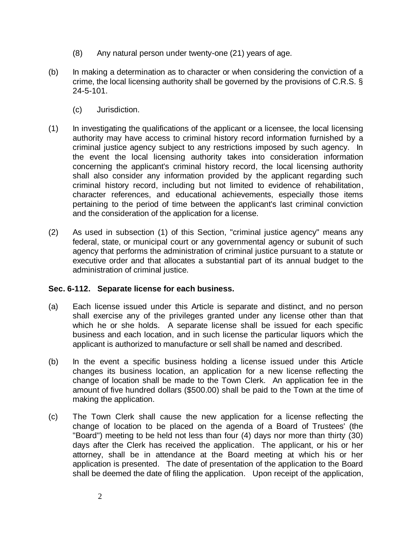- (8) Any natural person under twenty-one (21) years of age.
- (b) In making a determination as to character or when considering the conviction of a crime, the local licensing authority shall be governed by the provisions of C.R.S. § 24-5-101.
	- (c) Jurisdiction.
- (1) In investigating the qualifications of the applicant or a licensee, the local licensing authority may have access to criminal history record information furnished by a criminal justice agency subject to any restrictions imposed by such agency. In the event the local licensing authority takes into consideration information concerning the applicant's criminal history record, the local licensing authority shall also consider any information provided by the applicant regarding such criminal history record, including but not limited to evidence of rehabilitation, character references, and educational achievements, especially those items pertaining to the period of time between the applicant's last criminal conviction and the consideration of the application for a license.
- (2) As used in subsection (1) of this Section, "criminal justice agency" means any federal, state, or municipal court or any governmental agency or subunit of such agency that performs the administration of criminal justice pursuant to a statute or executive order and that allocates a substantial part of its annual budget to the administration of criminal justice.

### **Sec. 6-112. Separate license for each business.**

- (a) Each license issued under this Article is separate and distinct, and no person shall exercise any of the privileges granted under any license other than that which he or she holds. A separate license shall be issued for each specific business and each location, and in such license the particular liquors which the applicant is authorized to manufacture or sell shall be named and described.
- (b) In the event a specific business holding a license issued under this Article changes its business location, an application for a new license reflecting the change of location shall be made to the Town Clerk. An application fee in the amount of five hundred dollars (\$500.00) shall be paid to the Town at the time of making the application.
- (c) The Town Clerk shall cause the new application for a license reflecting the change of location to be placed on the agenda of a Board of Trustees' (the "Board") meeting to be held not less than four (4) days nor more than thirty (30) days after the Clerk has received the application. The applicant, or his or her attorney, shall be in attendance at the Board meeting at which his or her application is presented. The date of presentation of the application to the Board shall be deemed the date of filing the application. Upon receipt of the application,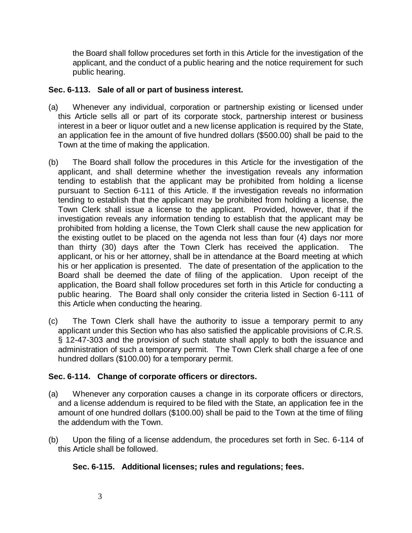the Board shall follow procedures set forth in this Article for the investigation of the applicant, and the conduct of a public hearing and the notice requirement for such public hearing.

### **Sec. 6-113. Sale of all or part of business interest.**

- (a) Whenever any individual, corporation or partnership existing or licensed under this Article sells all or part of its corporate stock, partnership interest or business interest in a beer or liquor outlet and a new license application is required by the State, an application fee in the amount of five hundred dollars (\$500.00) shall be paid to the Town at the time of making the application.
- (b) The Board shall follow the procedures in this Article for the investigation of the applicant, and shall determine whether the investigation reveals any information tending to establish that the applicant may be prohibited from holding a license pursuant to Section 6-111 of this Article. If the investigation reveals no information tending to establish that the applicant may be prohibited from holding a license, the Town Clerk shall issue a license to the applicant. Provided, however, that if the investigation reveals any information tending to establish that the applicant may be prohibited from holding a license, the Town Clerk shall cause the new application for the existing outlet to be placed on the agenda not less than four (4) days nor more than thirty (30) days after the Town Clerk has received the application. The applicant, or his or her attorney, shall be in attendance at the Board meeting at which his or her application is presented. The date of presentation of the application to the Board shall be deemed the date of filing of the application. Upon receipt of the application, the Board shall follow procedures set forth in this Article for conducting a public hearing. The Board shall only consider the criteria listed in Section 6-111 of this Article when conducting the hearing.
- (c) The Town Clerk shall have the authority to issue a temporary permit to any applicant under this Section who has also satisfied the applicable provisions of C.R.S. § 12-47-303 and the provision of such statute shall apply to both the issuance and administration of such a temporary permit. The Town Clerk shall charge a fee of one hundred dollars (\$100.00) for a temporary permit.

## **Sec. 6-114. Change of corporate officers or directors.**

- (a) Whenever any corporation causes a change in its corporate officers or directors, and a license addendum is required to be filed with the State, an application fee in the amount of one hundred dollars (\$100.00) shall be paid to the Town at the time of filing the addendum with the Town.
- (b) Upon the filing of a license addendum, the procedures set forth in Sec. 6-114 of this Article shall be followed.

### **Sec. 6-115. Additional licenses; rules and regulations; fees.**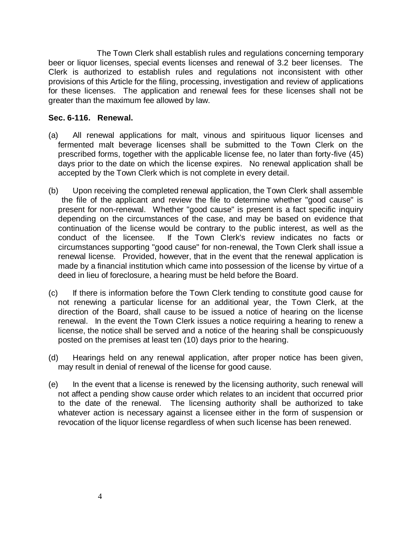The Town Clerk shall establish rules and regulations concerning temporary beer or liquor licenses, special events licenses and renewal of 3.2 beer licenses. The Clerk is authorized to establish rules and regulations not inconsistent with other provisions of this Article for the filing, processing, investigation and review of applications for these licenses. The application and renewal fees for these licenses shall not be greater than the maximum fee allowed by law.

### **Sec. 6-116. Renewal.**

- (a) All renewal applications for malt, vinous and spirituous liquor licenses and fermented malt beverage licenses shall be submitted to the Town Clerk on the prescribed forms, together with the applicable license fee, no later than forty-five (45) days prior to the date on which the license expires. No renewal application shall be accepted by the Town Clerk which is not complete in every detail.
- (b) Upon receiving the completed renewal application, the Town Clerk shall assemble the file of the applicant and review the file to determine whether "good cause" is present for non-renewal. Whether "good cause" is present is a fact specific inquiry depending on the circumstances of the case, and may be based on evidence that continuation of the license would be contrary to the public interest, as well as the conduct of the licensee. If the Town Clerk's review indicates no facts or circumstances supporting "good cause" for non-renewal, the Town Clerk shall issue a renewal license. Provided, however, that in the event that the renewal application is made by a financial institution which came into possession of the license by virtue of a deed in lieu of foreclosure, a hearing must be held before the Board.
- (c) If there is information before the Town Clerk tending to constitute good cause for not renewing a particular license for an additional year, the Town Clerk, at the direction of the Board, shall cause to be issued a notice of hearing on the license renewal. In the event the Town Clerk issues a notice requiring a hearing to renew a license, the notice shall be served and a notice of the hearing shall be conspicuously posted on the premises at least ten (10) days prior to the hearing.
- (d) Hearings held on any renewal application, after proper notice has been given, may result in denial of renewal of the license for good cause.
- (e) In the event that a license is renewed by the licensing authority, such renewal will not affect a pending show cause order which relates to an incident that occurred prior to the date of the renewal. The licensing authority shall be authorized to take whatever action is necessary against a licensee either in the form of suspension or revocation of the liquor license regardless of when such license has been renewed.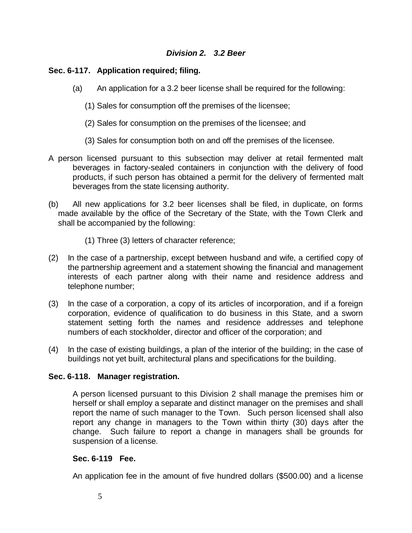### *Division 2. 3.2 Beer*

### **Sec. 6-117. Application required; filing.**

- (a) An application for a 3.2 beer license shall be required for the following:
	- (1) Sales for consumption off the premises of the licensee;
	- (2) Sales for consumption on the premises of the licensee; and
	- (3) Sales for consumption both on and off the premises of the licensee.
- A person licensed pursuant to this subsection may deliver at retail fermented malt beverages in factory-sealed containers in conjunction with the delivery of food products, if such person has obtained a permit for the delivery of fermented malt beverages from the state licensing authority.
- (b) All new applications for 3.2 beer licenses shall be filed, in duplicate, on forms made available by the office of the Secretary of the State, with the Town Clerk and shall be accompanied by the following:
	- (1) Three (3) letters of character reference;
- (2) In the case of a partnership, except between husband and wife, a certified copy of the partnership agreement and a statement showing the financial and management interests of each partner along with their name and residence address and telephone number;
- (3) In the case of a corporation, a copy of its articles of incorporation, and if a foreign corporation, evidence of qualification to do business in this State, and a sworn statement setting forth the names and residence addresses and telephone numbers of each stockholder, director and officer of the corporation; and
- (4) In the case of existing buildings, a plan of the interior of the building; in the case of buildings not yet built, architectural plans and specifications for the building.

### **Sec. 6-118. Manager registration.**

A person licensed pursuant to this Division 2 shall manage the premises him or herself or shall employ a separate and distinct manager on the premises and shall report the name of such manager to the Town. Such person licensed shall also report any change in managers to the Town within thirty (30) days after the change. Such failure to report a change in managers shall be grounds for suspension of a license.

### **Sec. 6-119 Fee.**

An application fee in the amount of five hundred dollars (\$500.00) and a license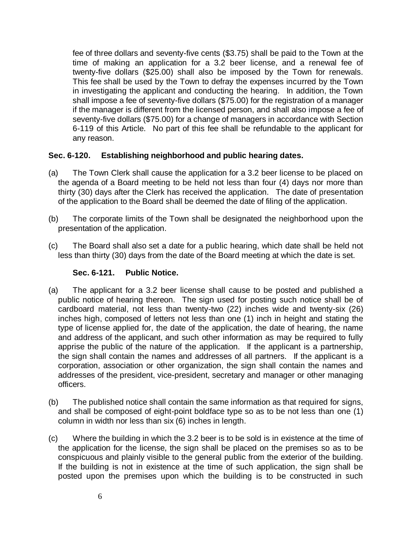fee of three dollars and seventy-five cents (\$3.75) shall be paid to the Town at the time of making an application for a 3.2 beer license, and a renewal fee of twenty-five dollars (\$25.00) shall also be imposed by the Town for renewals. This fee shall be used by the Town to defray the expenses incurred by the Town in investigating the applicant and conducting the hearing. In addition, the Town shall impose a fee of seventy-five dollars (\$75.00) for the registration of a manager if the manager is different from the licensed person, and shall also impose a fee of seventy-five dollars (\$75.00) for a change of managers in accordance with Section 6-119 of this Article. No part of this fee shall be refundable to the applicant for any reason.

## **Sec. 6-120. Establishing neighborhood and public hearing dates.**

- (a) The Town Clerk shall cause the application for a 3.2 beer license to be placed on the agenda of a Board meeting to be held not less than four (4) days nor more than thirty (30) days after the Clerk has received the application. The date of presentation of the application to the Board shall be deemed the date of filing of the application.
- (b) The corporate limits of the Town shall be designated the neighborhood upon the presentation of the application.
- (c) The Board shall also set a date for a public hearing, which date shall be held not less than thirty (30) days from the date of the Board meeting at which the date is set.

### **Sec. 6-121. Public Notice.**

- (a) The applicant for a 3.2 beer license shall cause to be posted and published a public notice of hearing thereon. The sign used for posting such notice shall be of cardboard material, not less than twenty-two (22) inches wide and twenty-six (26) inches high, composed of letters not less than one (1) inch in height and stating the type of license applied for, the date of the application, the date of hearing, the name and address of the applicant, and such other information as may be required to fully apprise the public of the nature of the application. If the applicant is a partnership, the sign shall contain the names and addresses of all partners. If the applicant is a corporation, association or other organization, the sign shall contain the names and addresses of the president, vice-president, secretary and manager or other managing officers.
- (b) The published notice shall contain the same information as that required for signs, and shall be composed of eight-point boldface type so as to be not less than one (1) column in width nor less than six (6) inches in length.
- (c) Where the building in which the 3.2 beer is to be sold is in existence at the time of the application for the license, the sign shall be placed on the premises so as to be conspicuous and plainly visible to the general public from the exterior of the building. If the building is not in existence at the time of such application, the sign shall be posted upon the premises upon which the building is to be constructed in such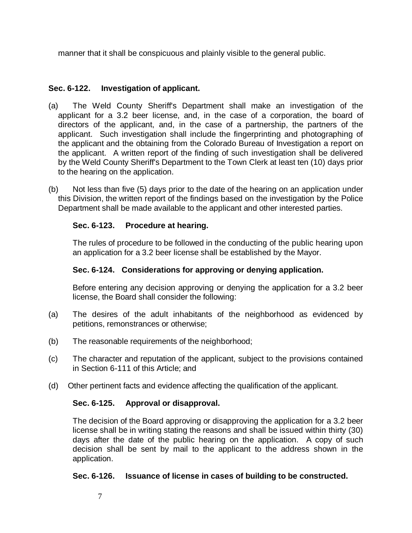manner that it shall be conspicuous and plainly visible to the general public.

## **Sec. 6-122. Investigation of applicant.**

- (a) The Weld County Sheriff's Department shall make an investigation of the applicant for a 3.2 beer license, and, in the case of a corporation, the board of directors of the applicant, and, in the case of a partnership, the partners of the applicant. Such investigation shall include the fingerprinting and photographing of the applicant and the obtaining from the Colorado Bureau of Investigation a report on the applicant. A written report of the finding of such investigation shall be delivered by the Weld County Sheriff's Department to the Town Clerk at least ten (10) days prior to the hearing on the application.
- (b) Not less than five (5) days prior to the date of the hearing on an application under this Division, the written report of the findings based on the investigation by the Police Department shall be made available to the applicant and other interested parties.

## **Sec. 6-123. Procedure at hearing.**

The rules of procedure to be followed in the conducting of the public hearing upon an application for a 3.2 beer license shall be established by the Mayor.

## **Sec. 6-124. Considerations for approving or denying application.**

Before entering any decision approving or denying the application for a 3.2 beer license, the Board shall consider the following:

- (a) The desires of the adult inhabitants of the neighborhood as evidenced by petitions, remonstrances or otherwise;
- (b) The reasonable requirements of the neighborhood;
- (c) The character and reputation of the applicant, subject to the provisions contained in Section 6-111 of this Article; and
- (d) Other pertinent facts and evidence affecting the qualification of the applicant.

## **Sec. 6-125. Approval or disapproval.**

The decision of the Board approving or disapproving the application for a 3.2 beer license shall be in writing stating the reasons and shall be issued within thirty (30) days after the date of the public hearing on the application. A copy of such decision shall be sent by mail to the applicant to the address shown in the application.

## **Sec. 6-126. Issuance of license in cases of building to be constructed.**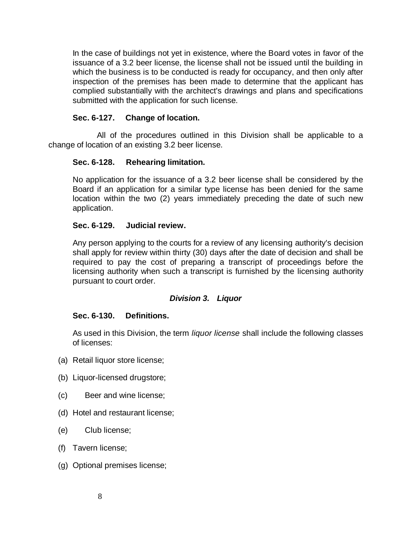In the case of buildings not yet in existence, where the Board votes in favor of the issuance of a 3.2 beer license, the license shall not be issued until the building in which the business is to be conducted is ready for occupancy, and then only after inspection of the premises has been made to determine that the applicant has complied substantially with the architect's drawings and plans and specifications submitted with the application for such license.

### **Sec. 6-127. Change of location.**

 All of the procedures outlined in this Division shall be applicable to a change of location of an existing 3.2 beer license.

### **Sec. 6-128. Rehearing limitation.**

No application for the issuance of a 3.2 beer license shall be considered by the Board if an application for a similar type license has been denied for the same location within the two (2) years immediately preceding the date of such new application.

### **Sec. 6-129. Judicial review.**

Any person applying to the courts for a review of any licensing authority's decision shall apply for review within thirty (30) days after the date of decision and shall be required to pay the cost of preparing a transcript of proceedings before the licensing authority when such a transcript is furnished by the licensing authority pursuant to court order.

### *Division 3. Liquor*

### **Sec. 6-130. Definitions.**

As used in this Division, the term *liquor license* shall include the following classes of licenses:

- (a) Retail liquor store license;
- (b) Liquor-licensed drugstore;
- (c) Beer and wine license;
- (d) Hotel and restaurant license;
- (e) Club license;
- (f) Tavern license;
- (g) Optional premises license;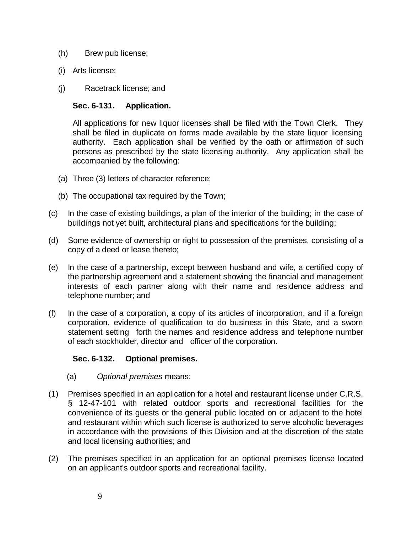- (h) Brew pub license;
- (i) Arts license;
- (j) Racetrack license; and

## **Sec. 6-131. Application.**

All applications for new liquor licenses shall be filed with the Town Clerk. They shall be filed in duplicate on forms made available by the state liquor licensing authority. Each application shall be verified by the oath or affirmation of such persons as prescribed by the state licensing authority. Any application shall be accompanied by the following:

- (a) Three (3) letters of character reference;
- (b) The occupational tax required by the Town;
- (c) In the case of existing buildings, a plan of the interior of the building; in the case of buildings not yet built, architectural plans and specifications for the building;
- (d) Some evidence of ownership or right to possession of the premises, consisting of a copy of a deed or lease thereto;
- (e) In the case of a partnership, except between husband and wife, a certified copy of the partnership agreement and a statement showing the financial and management interests of each partner along with their name and residence address and telephone number; and
- (f) In the case of a corporation, a copy of its articles of incorporation, and if a foreign corporation, evidence of qualification to do business in this State, and a sworn statement setting forth the names and residence address and telephone number of each stockholder, director and officer of the corporation.

## **Sec. 6-132. Optional premises.**

- (a) *Optional premises* means:
- (1) Premises specified in an application for a hotel and restaurant license under C.R.S. § 12-47-101 with related outdoor sports and recreational facilities for the convenience of its guests or the general public located on or adjacent to the hotel and restaurant within which such license is authorized to serve alcoholic beverages in accordance with the provisions of this Division and at the discretion of the state and local licensing authorities; and
- (2) The premises specified in an application for an optional premises license located on an applicant's outdoor sports and recreational facility.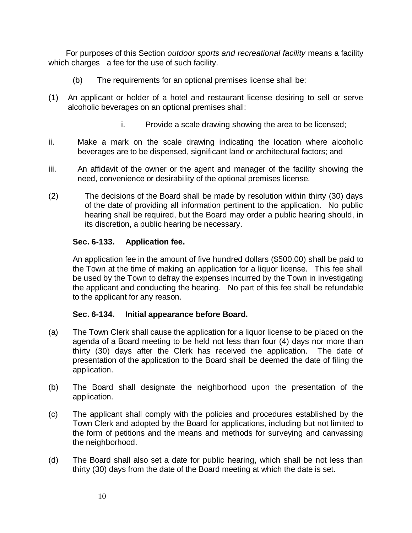For purposes of this Section *outdoor sports and recreational facility* means a facility which charges a fee for the use of such facility.

- (b) The requirements for an optional premises license shall be:
- (1) An applicant or holder of a hotel and restaurant license desiring to sell or serve alcoholic beverages on an optional premises shall:
	- i. Provide a scale drawing showing the area to be licensed;
- ii. Make a mark on the scale drawing indicating the location where alcoholic beverages are to be dispensed, significant land or architectural factors; and
- iii. An affidavit of the owner or the agent and manager of the facility showing the need, convenience or desirability of the optional premises license.
- (2) The decisions of the Board shall be made by resolution within thirty (30) days of the date of providing all information pertinent to the application. No public hearing shall be required, but the Board may order a public hearing should, in its discretion, a public hearing be necessary.

## **Sec. 6-133. Application fee.**

An application fee in the amount of five hundred dollars (\$500.00) shall be paid to the Town at the time of making an application for a liquor license. This fee shall be used by the Town to defray the expenses incurred by the Town in investigating the applicant and conducting the hearing. No part of this fee shall be refundable to the applicant for any reason.

## **Sec. 6-134. Initial appearance before Board.**

- (a) The Town Clerk shall cause the application for a liquor license to be placed on the agenda of a Board meeting to be held not less than four (4) days nor more than thirty (30) days after the Clerk has received the application. The date of presentation of the application to the Board shall be deemed the date of filing the application.
- (b) The Board shall designate the neighborhood upon the presentation of the application.
- (c) The applicant shall comply with the policies and procedures established by the Town Clerk and adopted by the Board for applications, including but not limited to the form of petitions and the means and methods for surveying and canvassing the neighborhood.
- (d) The Board shall also set a date for public hearing, which shall be not less than thirty (30) days from the date of the Board meeting at which the date is set.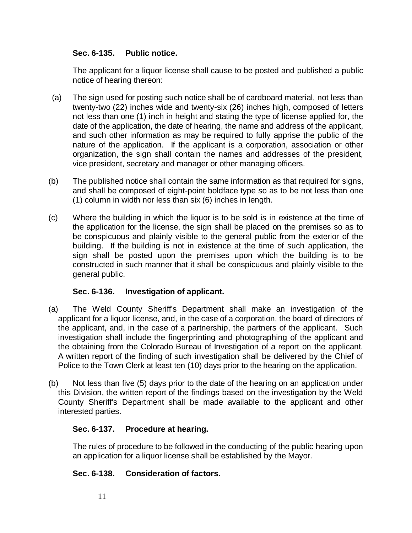### **Sec. 6-135. Public notice.**

The applicant for a liquor license shall cause to be posted and published a public notice of hearing thereon:

- (a) The sign used for posting such notice shall be of cardboard material, not less than twenty-two (22) inches wide and twenty-six (26) inches high, composed of letters not less than one (1) inch in height and stating the type of license applied for, the date of the application, the date of hearing, the name and address of the applicant, and such other information as may be required to fully apprise the public of the nature of the application. If the applicant is a corporation, association or other organization, the sign shall contain the names and addresses of the president, vice president, secretary and manager or other managing officers.
- (b) The published notice shall contain the same information as that required for signs, and shall be composed of eight-point boldface type so as to be not less than one (1) column in width nor less than six (6) inches in length.
- (c) Where the building in which the liquor is to be sold is in existence at the time of the application for the license, the sign shall be placed on the premises so as to be conspicuous and plainly visible to the general public from the exterior of the building. If the building is not in existence at the time of such application, the sign shall be posted upon the premises upon which the building is to be constructed in such manner that it shall be conspicuous and plainly visible to the general public.

## **Sec. 6-136. Investigation of applicant.**

- (a) The Weld County Sheriff's Department shall make an investigation of the applicant for a liquor license, and, in the case of a corporation, the board of directors of the applicant, and, in the case of a partnership, the partners of the applicant. Such investigation shall include the fingerprinting and photographing of the applicant and the obtaining from the Colorado Bureau of Investigation of a report on the applicant. A written report of the finding of such investigation shall be delivered by the Chief of Police to the Town Clerk at least ten (10) days prior to the hearing on the application.
- (b) Not less than five (5) days prior to the date of the hearing on an application under this Division, the written report of the findings based on the investigation by the Weld County Sheriff's Department shall be made available to the applicant and other interested parties.

## **Sec. 6-137. Procedure at hearing.**

The rules of procedure to be followed in the conducting of the public hearing upon an application for a liquor license shall be established by the Mayor.

# **Sec. 6-138. Consideration of factors.**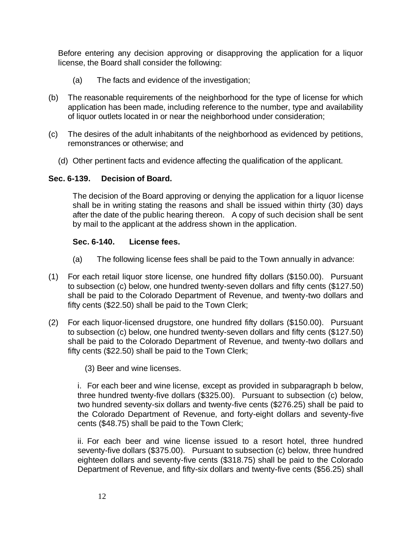Before entering any decision approving or disapproving the application for a liquor license, the Board shall consider the following:

- (a) The facts and evidence of the investigation;
- (b) The reasonable requirements of the neighborhood for the type of license for which application has been made, including reference to the number, type and availability of liquor outlets located in or near the neighborhood under consideration;
- (c) The desires of the adult inhabitants of the neighborhood as evidenced by petitions, remonstrances or otherwise; and
	- (d) Other pertinent facts and evidence affecting the qualification of the applicant.

### **Sec. 6-139. Decision of Board.**

The decision of the Board approving or denying the application for a liquor license shall be in writing stating the reasons and shall be issued within thirty (30) days after the date of the public hearing thereon. A copy of such decision shall be sent by mail to the applicant at the address shown in the application.

## **Sec. 6-140. License fees.**

- (a) The following license fees shall be paid to the Town annually in advance:
- (1) For each retail liquor store license, one hundred fifty dollars (\$150.00). Pursuant to subsection (c) below, one hundred twenty-seven dollars and fifty cents (\$127.50) shall be paid to the Colorado Department of Revenue, and twenty-two dollars and fifty cents (\$22.50) shall be paid to the Town Clerk;
- (2) For each liquor-licensed drugstore, one hundred fifty dollars (\$150.00). Pursuant to subsection (c) below, one hundred twenty-seven dollars and fifty cents (\$127.50) shall be paid to the Colorado Department of Revenue, and twenty-two dollars and fifty cents (\$22.50) shall be paid to the Town Clerk;

(3) Beer and wine licenses.

i. For each beer and wine license, except as provided in subparagraph b below, three hundred twenty-five dollars (\$325.00). Pursuant to subsection (c) below, two hundred seventy-six dollars and twenty-five cents (\$276.25) shall be paid to the Colorado Department of Revenue, and forty-eight dollars and seventy-five cents (\$48.75) shall be paid to the Town Clerk;

ii. For each beer and wine license issued to a resort hotel, three hundred seventy-five dollars (\$375.00). Pursuant to subsection (c) below, three hundred eighteen dollars and seventy-five cents (\$318.75) shall be paid to the Colorado Department of Revenue, and fifty-six dollars and twenty-five cents (\$56.25) shall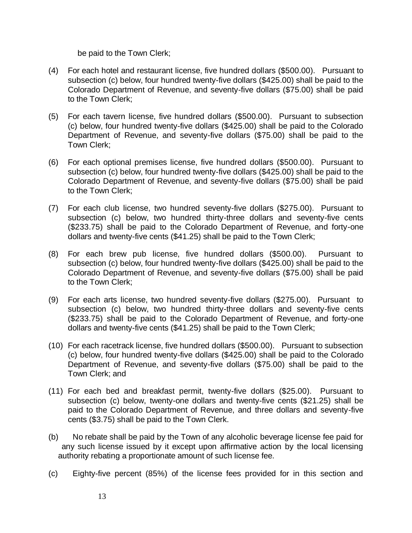be paid to the Town Clerk;

- (4) For each hotel and restaurant license, five hundred dollars (\$500.00). Pursuant to subsection (c) below, four hundred twenty-five dollars (\$425.00) shall be paid to the Colorado Department of Revenue, and seventy-five dollars (\$75.00) shall be paid to the Town Clerk;
- (5) For each tavern license, five hundred dollars (\$500.00). Pursuant to subsection (c) below, four hundred twenty-five dollars (\$425.00) shall be paid to the Colorado Department of Revenue, and seventy-five dollars (\$75.00) shall be paid to the Town Clerk;
- (6) For each optional premises license, five hundred dollars (\$500.00). Pursuant to subsection (c) below, four hundred twenty-five dollars (\$425.00) shall be paid to the Colorado Department of Revenue, and seventy-five dollars (\$75.00) shall be paid to the Town Clerk;
- (7) For each club license, two hundred seventy-five dollars (\$275.00). Pursuant to subsection (c) below, two hundred thirty-three dollars and seventy-five cents (\$233.75) shall be paid to the Colorado Department of Revenue, and forty-one dollars and twenty-five cents (\$41.25) shall be paid to the Town Clerk;
- (8) For each brew pub license, five hundred dollars (\$500.00). Pursuant to subsection (c) below, four hundred twenty-five dollars (\$425.00) shall be paid to the Colorado Department of Revenue, and seventy-five dollars (\$75.00) shall be paid to the Town Clerk;
- (9) For each arts license, two hundred seventy-five dollars (\$275.00). Pursuant to subsection (c) below, two hundred thirty-three dollars and seventy-five cents (\$233.75) shall be paid to the Colorado Department of Revenue, and forty-one dollars and twenty-five cents (\$41.25) shall be paid to the Town Clerk;
- (10) For each racetrack license, five hundred dollars (\$500.00). Pursuant to subsection (c) below, four hundred twenty-five dollars (\$425.00) shall be paid to the Colorado Department of Revenue, and seventy-five dollars (\$75.00) shall be paid to the Town Clerk; and
- (11) For each bed and breakfast permit, twenty-five dollars (\$25.00). Pursuant to subsection (c) below, twenty-one dollars and twenty-five cents (\$21.25) shall be paid to the Colorado Department of Revenue, and three dollars and seventy-five cents (\$3.75) shall be paid to the Town Clerk.
- (b) No rebate shall be paid by the Town of any alcoholic beverage license fee paid for any such license issued by it except upon affirmative action by the local licensing authority rebating a proportionate amount of such license fee.
- (c) Eighty-five percent (85%) of the license fees provided for in this section and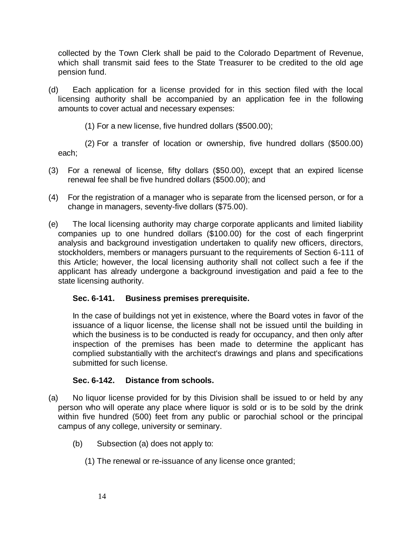collected by the Town Clerk shall be paid to the Colorado Department of Revenue, which shall transmit said fees to the State Treasurer to be credited to the old age pension fund.

- (d) Each application for a license provided for in this section filed with the local licensing authority shall be accompanied by an application fee in the following amounts to cover actual and necessary expenses:
	- (1) For a new license, five hundred dollars (\$500.00);

 (2) For a transfer of location or ownership, five hundred dollars (\$500.00) each;

- (3) For a renewal of license, fifty dollars (\$50.00), except that an expired license renewal fee shall be five hundred dollars (\$500.00); and
- (4) For the registration of a manager who is separate from the licensed person, or for a change in managers, seventy-five dollars (\$75.00).
- (e) The local licensing authority may charge corporate applicants and limited liability companies up to one hundred dollars (\$100.00) for the cost of each fingerprint analysis and background investigation undertaken to qualify new officers, directors, stockholders, members or managers pursuant to the requirements of Section 6-111 of this Article; however, the local licensing authority shall not collect such a fee if the applicant has already undergone a background investigation and paid a fee to the state licensing authority.

## **Sec. 6-141. Business premises prerequisite.**

In the case of buildings not yet in existence, where the Board votes in favor of the issuance of a liquor license, the license shall not be issued until the building in which the business is to be conducted is ready for occupancy, and then only after inspection of the premises has been made to determine the applicant has complied substantially with the architect's drawings and plans and specifications submitted for such license.

### **Sec. 6-142. Distance from schools.**

- (a) No liquor license provided for by this Division shall be issued to or held by any person who will operate any place where liquor is sold or is to be sold by the drink within five hundred (500) feet from any public or parochial school or the principal campus of any college, university or seminary.
	- (b) Subsection (a) does not apply to:
		- (1) The renewal or re-issuance of any license once granted;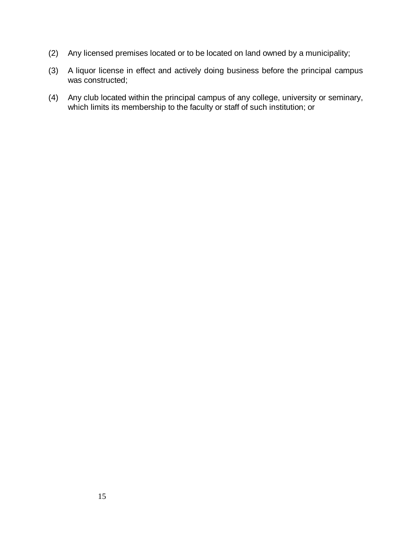- (2) Any licensed premises located or to be located on land owned by a municipality;
- (3) A liquor license in effect and actively doing business before the principal campus was constructed;
- (4) Any club located within the principal campus of any college, university or seminary, which limits its membership to the faculty or staff of such institution; or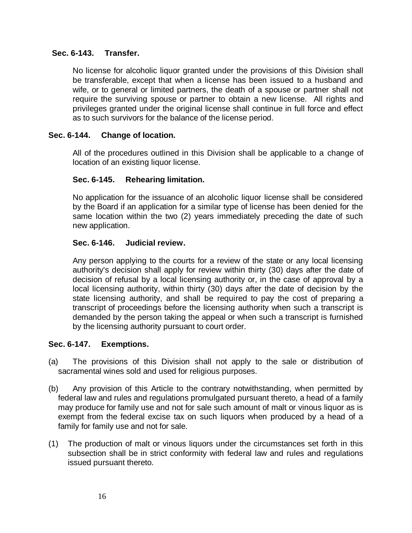### **Sec. 6-143. Transfer.**

No license for alcoholic liquor granted under the provisions of this Division shall be transferable, except that when a license has been issued to a husband and wife, or to general or limited partners, the death of a spouse or partner shall not require the surviving spouse or partner to obtain a new license. All rights and privileges granted under the original license shall continue in full force and effect as to such survivors for the balance of the license period.

### **Sec. 6-144. Change of location.**

All of the procedures outlined in this Division shall be applicable to a change of location of an existing liquor license.

### **Sec. 6-145. Rehearing limitation.**

No application for the issuance of an alcoholic liquor license shall be considered by the Board if an application for a similar type of license has been denied for the same location within the two (2) years immediately preceding the date of such new application.

### **Sec. 6-146. Judicial review.**

Any person applying to the courts for a review of the state or any local licensing authority's decision shall apply for review within thirty (30) days after the date of decision of refusal by a local licensing authority or, in the case of approval by a local licensing authority, within thirty (30) days after the date of decision by the state licensing authority, and shall be required to pay the cost of preparing a transcript of proceedings before the licensing authority when such a transcript is demanded by the person taking the appeal or when such a transcript is furnished by the licensing authority pursuant to court order.

### **Sec. 6-147. Exemptions.**

- (a) The provisions of this Division shall not apply to the sale or distribution of sacramental wines sold and used for religious purposes.
- (b) Any provision of this Article to the contrary notwithstanding, when permitted by federal law and rules and regulations promulgated pursuant thereto, a head of a family may produce for family use and not for sale such amount of malt or vinous liquor as is exempt from the federal excise tax on such liquors when produced by a head of a family for family use and not for sale.
- (1) The production of malt or vinous liquors under the circumstances set forth in this subsection shall be in strict conformity with federal law and rules and regulations issued pursuant thereto.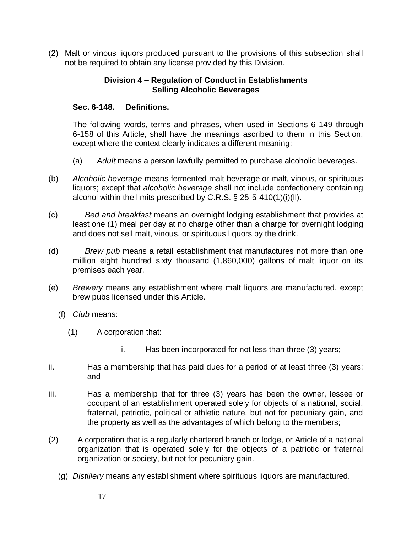(2) Malt or vinous liquors produced pursuant to the provisions of this subsection shall not be required to obtain any license provided by this Division.

### **Division 4 – Regulation of Conduct in Establishments Selling Alcoholic Beverages**

### **Sec. 6-148. Definitions.**

The following words, terms and phrases, when used in Sections 6-149 through 6-158 of this Article, shall have the meanings ascribed to them in this Section, except where the context clearly indicates a different meaning:

- (a) *Adult* means a person lawfully permitted to purchase alcoholic beverages.
- (b) *Alcoholic beverage* means fermented malt beverage or malt, vinous, or spirituous liquors; except that *alcoholic beverage* shall not include confectionery containing alcohol within the limits prescribed by C.R.S. § 25-5-410(1)(i)(II).
- (c) *Bed and breakfast* means an overnight lodging establishment that provides at least one (1) meal per day at no charge other than a charge for overnight lodging and does not sell malt, vinous, or spirituous liquors by the drink.
- (d) *Brew pub* means a retail establishment that manufactures not more than one million eight hundred sixty thousand (1,860,000) gallons of malt liquor on its premises each year.
- (e) *Brewery* means any establishment where malt liquors are manufactured, except brew pubs licensed under this Article.
	- (f) *Club* means:
		- (1) A corporation that:
			- i. Has been incorporated for not less than three (3) years;
- ii. Has a membership that has paid dues for a period of at least three (3) years; and
- iii. Has a membership that for three (3) years has been the owner, lessee or occupant of an establishment operated solely for objects of a national, social, fraternal, patriotic, political or athletic nature, but not for pecuniary gain, and the property as well as the advantages of which belong to the members;
- (2) A corporation that is a regularly chartered branch or lodge, or Article of a national organization that is operated solely for the objects of a patriotic or fraternal organization or society, but not for pecuniary gain.
	- (g) *Distillery* means any establishment where spirituous liquors are manufactured.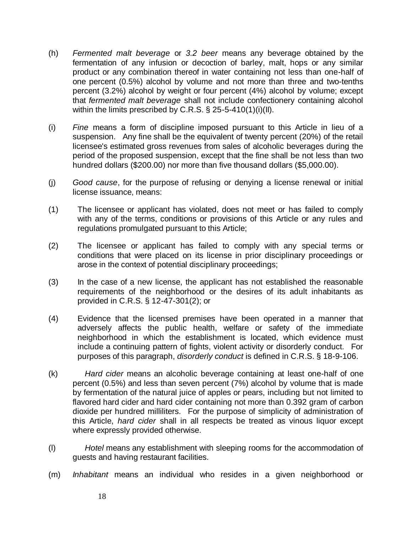- (h) *Fermented malt beverage* or *3.2 beer* means any beverage obtained by the fermentation of any infusion or decoction of barley, malt, hops or any similar product or any combination thereof in water containing not less than one-half of one percent (0.5%) alcohol by volume and not more than three and two-tenths percent (3.2%) alcohol by weight or four percent (4%) alcohol by volume; except that *fermented malt beverage* shall not include confectionery containing alcohol within the limits prescribed by C.R.S. § 25-5-410(1)(i)(II).
- (i) *Fine* means a form of discipline imposed pursuant to this Article in lieu of a suspension. Any fine shall be the equivalent of twenty percent (20%) of the retail licensee's estimated gross revenues from sales of alcoholic beverages during the period of the proposed suspension, except that the fine shall be not less than two hundred dollars (\$200.00) nor more than five thousand dollars (\$5,000.00).
- (j) *Good cause*, for the purpose of refusing or denying a license renewal or initial license issuance, means:
- (1) The licensee or applicant has violated, does not meet or has failed to comply with any of the terms, conditions or provisions of this Article or any rules and regulations promulgated pursuant to this Article;
- (2) The licensee or applicant has failed to comply with any special terms or conditions that were placed on its license in prior disciplinary proceedings or arose in the context of potential disciplinary proceedings;
- (3) In the case of a new license, the applicant has not established the reasonable requirements of the neighborhood or the desires of its adult inhabitants as provided in C.R.S. § 12-47-301(2); or
- (4) Evidence that the licensed premises have been operated in a manner that adversely affects the public health, welfare or safety of the immediate neighborhood in which the establishment is located, which evidence must include a continuing pattern of fights, violent activity or disorderly conduct. For purposes of this paragraph, *disorderly conduct* is defined in C.R.S. § 18-9-106.
- (k) *Hard cider* means an alcoholic beverage containing at least one-half of one percent (0.5%) and less than seven percent (7%) alcohol by volume that is made by fermentation of the natural juice of apples or pears, including but not limited to flavored hard cider and hard cider containing not more than 0.392 gram of carbon dioxide per hundred milliliters. For the purpose of simplicity of administration of this Article, *hard cider* shall in all respects be treated as vinous liquor except where expressly provided otherwise.
- (l) *Hotel* means any establishment with sleeping rooms for the accommodation of guests and having restaurant facilities.
- (m) *Inhabitant* means an individual who resides in a given neighborhood or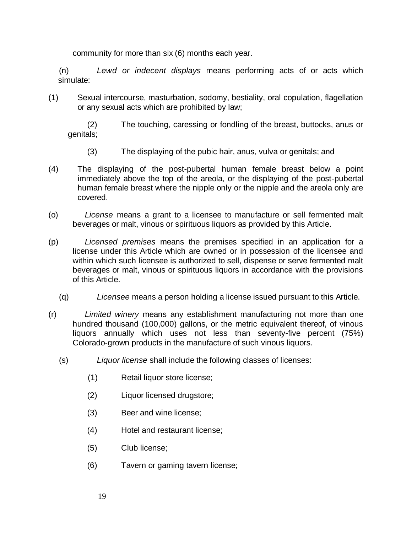community for more than six (6) months each year.

 (n) *Lewd or indecent displays* means performing acts of or acts which simulate:

(1) Sexual intercourse, masturbation, sodomy, bestiality, oral copulation, flagellation or any sexual acts which are prohibited by law;

 (2) The touching, caressing or fondling of the breast, buttocks, anus or genitals;

- (3) The displaying of the pubic hair, anus, vulva or genitals; and
- (4) The displaying of the post-pubertal human female breast below a point immediately above the top of the areola, or the displaying of the post-pubertal human female breast where the nipple only or the nipple and the areola only are covered.
- (o) *License* means a grant to a licensee to manufacture or sell fermented malt beverages or malt, vinous or spirituous liquors as provided by this Article.
- (p) *Licensed premises* means the premises specified in an application for a license under this Article which are owned or in possession of the licensee and within which such licensee is authorized to sell, dispense or serve fermented malt beverages or malt, vinous or spirituous liquors in accordance with the provisions of this Article.
	- (q) *Licensee* means a person holding a license issued pursuant to this Article.
- (r) *Limited winery* means any establishment manufacturing not more than one hundred thousand (100,000) gallons, or the metric equivalent thereof, of vinous liquors annually which uses not less than seventy-five percent (75%) Colorado-grown products in the manufacture of such vinous liquors.
	- (s) *Liquor license* shall include the following classes of licenses:
		- (1) Retail liquor store license;
		- (2) Liquor licensed drugstore;
		- (3) Beer and wine license;
		- (4) Hotel and restaurant license;
		- (5) Club license;
		- (6) Tavern or gaming tavern license;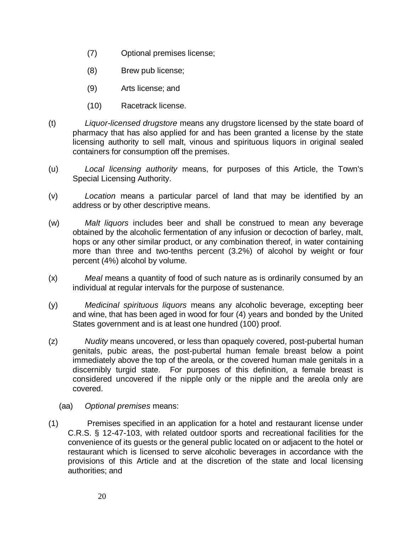- (7) Optional premises license;
- (8) Brew pub license;
- (9) Arts license; and
- (10) Racetrack license.
- (t) *Liquor-licensed drugstore* means any drugstore licensed by the state board of pharmacy that has also applied for and has been granted a license by the state licensing authority to sell malt, vinous and spirituous liquors in original sealed containers for consumption off the premises.
- (u) *Local licensing authority* means, for purposes of this Article, the Town's Special Licensing Authority.
- (v) *Location* means a particular parcel of land that may be identified by an address or by other descriptive means.
- (w) *Malt liquors* includes beer and shall be construed to mean any beverage obtained by the alcoholic fermentation of any infusion or decoction of barley, malt, hops or any other similar product, or any combination thereof, in water containing more than three and two-tenths percent (3.2%) of alcohol by weight or four percent (4%) alcohol by volume.
- (x) *Meal* means a quantity of food of such nature as is ordinarily consumed by an individual at regular intervals for the purpose of sustenance.
- (y) *Medicinal spirituous liquors* means any alcoholic beverage, excepting beer and wine, that has been aged in wood for four (4) years and bonded by the United States government and is at least one hundred (100) proof.
- (z) *Nudity* means uncovered, or less than opaquely covered, post-pubertal human genitals, pubic areas, the post-pubertal human female breast below a point immediately above the top of the areola, or the covered human male genitals in a discernibly turgid state. For purposes of this definition, a female breast is considered uncovered if the nipple only or the nipple and the areola only are covered.
	- (aa) *Optional premises* means:
- (1) Premises specified in an application for a hotel and restaurant license under C.R.S. § 12-47-103, with related outdoor sports and recreational facilities for the convenience of its guests or the general public located on or adjacent to the hotel or restaurant which is licensed to serve alcoholic beverages in accordance with the provisions of this Article and at the discretion of the state and local licensing authorities; and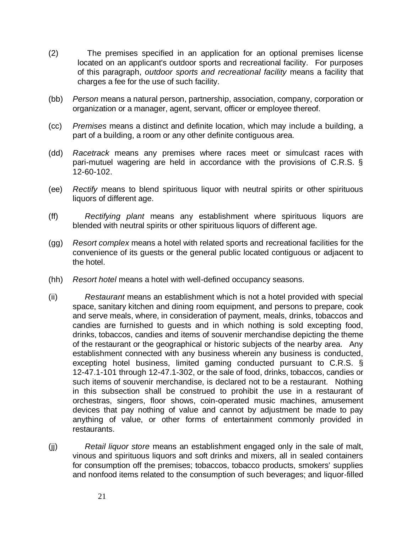- (2) The premises specified in an application for an optional premises license located on an applicant's outdoor sports and recreational facility. For purposes of this paragraph, *outdoor sports and recreational facility* means a facility that charges a fee for the use of such facility.
- (bb) *Person* means a natural person, partnership, association, company, corporation or organization or a manager, agent, servant, officer or employee thereof.
- (cc) *Premises* means a distinct and definite location, which may include a building, a part of a building, a room or any other definite contiguous area.
- (dd) *Racetrack* means any premises where races meet or simulcast races with pari-mutuel wagering are held in accordance with the provisions of C.R.S. § 12-60-102.
- (ee) *Rectify* means to blend spirituous liquor with neutral spirits or other spirituous liquors of different age.
- (ff) *Rectifying plant* means any establishment where spirituous liquors are blended with neutral spirits or other spirituous liquors of different age.
- (gg) *Resort complex* means a hotel with related sports and recreational facilities for the convenience of its guests or the general public located contiguous or adjacent to the hotel.
- (hh) *Resort hotel* means a hotel with well-defined occupancy seasons.
- (ii) *Restaurant* means an establishment which is not a hotel provided with special space, sanitary kitchen and dining room equipment, and persons to prepare, cook and serve meals, where, in consideration of payment, meals, drinks, tobaccos and candies are furnished to guests and in which nothing is sold excepting food, drinks, tobaccos, candies and items of souvenir merchandise depicting the theme of the restaurant or the geographical or historic subjects of the nearby area. Any establishment connected with any business wherein any business is conducted, excepting hotel business, limited gaming conducted pursuant to C.R.S. § 12-47.1-101 through 12-47.1-302, or the sale of food, drinks, tobaccos, candies or such items of souvenir merchandise, is declared not to be a restaurant. Nothing in this subsection shall be construed to prohibit the use in a restaurant of orchestras, singers, floor shows, coin-operated music machines, amusement devices that pay nothing of value and cannot by adjustment be made to pay anything of value, or other forms of entertainment commonly provided in restaurants.
- (jj) *Retail liquor store* means an establishment engaged only in the sale of malt, vinous and spirituous liquors and soft drinks and mixers, all in sealed containers for consumption off the premises; tobaccos, tobacco products, smokers' supplies and nonfood items related to the consumption of such beverages; and liquor-filled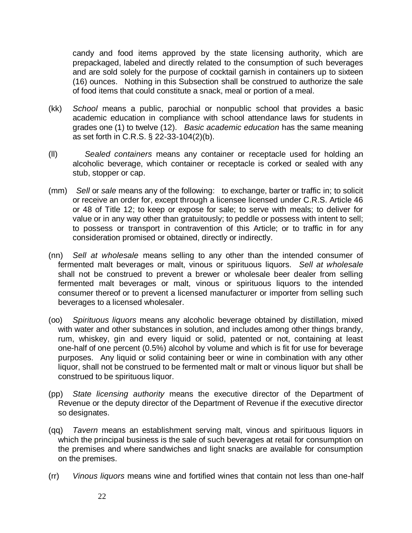candy and food items approved by the state licensing authority, which are prepackaged, labeled and directly related to the consumption of such beverages and are sold solely for the purpose of cocktail garnish in containers up to sixteen (16) ounces. Nothing in this Subsection shall be construed to authorize the sale of food items that could constitute a snack, meal or portion of a meal.

- (kk) *School* means a public, parochial or nonpublic school that provides a basic academic education in compliance with school attendance laws for students in grades one (1) to twelve (12). *Basic academic education* has the same meaning as set forth in C.R.S. § 22-33-104(2)(b).
- (ll) *Sealed containers* means any container or receptacle used for holding an alcoholic beverage, which container or receptacle is corked or sealed with any stub, stopper or cap.
- (mm) *Sell* or *sale* means any of the following: to exchange, barter or traffic in; to solicit or receive an order for, except through a licensee licensed under C.R.S. Article 46 or 48 of Title 12; to keep or expose for sale; to serve with meals; to deliver for value or in any way other than gratuitously; to peddle or possess with intent to sell; to possess or transport in contravention of this Article; or to traffic in for any consideration promised or obtained, directly or indirectly.
- (nn) *Sell at wholesale* means selling to any other than the intended consumer of fermented malt beverages or malt, vinous or spirituous liquors. *Sell at wholesale* shall not be construed to prevent a brewer or wholesale beer dealer from selling fermented malt beverages or malt, vinous or spirituous liquors to the intended consumer thereof or to prevent a licensed manufacturer or importer from selling such beverages to a licensed wholesaler.
- (oo) *Spirituous liquors* means any alcoholic beverage obtained by distillation, mixed with water and other substances in solution, and includes among other things brandy, rum, whiskey, gin and every liquid or solid, patented or not, containing at least one-half of one percent (0.5%) alcohol by volume and which is fit for use for beverage purposes. Any liquid or solid containing beer or wine in combination with any other liquor, shall not be construed to be fermented malt or malt or vinous liquor but shall be construed to be spirituous liquor.
- (pp) *State licensing authority* means the executive director of the Department of Revenue or the deputy director of the Department of Revenue if the executive director so designates.
- (qq) *Tavern* means an establishment serving malt, vinous and spirituous liquors in which the principal business is the sale of such beverages at retail for consumption on the premises and where sandwiches and light snacks are available for consumption on the premises.
- (rr) *Vinous liquors* means wine and fortified wines that contain not less than one-half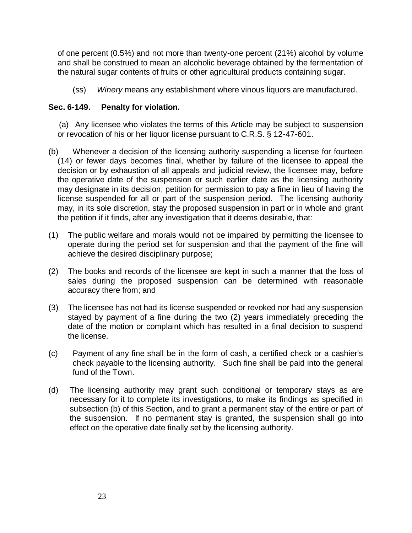of one percent (0.5%) and not more than twenty-one percent (21%) alcohol by volume and shall be construed to mean an alcoholic beverage obtained by the fermentation of the natural sugar contents of fruits or other agricultural products containing sugar.

(ss) *Winery* means any establishment where vinous liquors are manufactured.

### **Sec. 6-149. Penalty for violation.**

 (a) Any licensee who violates the terms of this Article may be subject to suspension or revocation of his or her liquor license pursuant to C.R.S. § 12-47-601.

- (b) Whenever a decision of the licensing authority suspending a license for fourteen (14) or fewer days becomes final, whether by failure of the licensee to appeal the decision or by exhaustion of all appeals and judicial review, the licensee may, before the operative date of the suspension or such earlier date as the licensing authority may designate in its decision, petition for permission to pay a fine in lieu of having the license suspended for all or part of the suspension period. The licensing authority may, in its sole discretion, stay the proposed suspension in part or in whole and grant the petition if it finds, after any investigation that it deems desirable, that:
- (1) The public welfare and morals would not be impaired by permitting the licensee to operate during the period set for suspension and that the payment of the fine will achieve the desired disciplinary purpose;
- (2) The books and records of the licensee are kept in such a manner that the loss of sales during the proposed suspension can be determined with reasonable accuracy there from; and
- (3) The licensee has not had its license suspended or revoked nor had any suspension stayed by payment of a fine during the two (2) years immediately preceding the date of the motion or complaint which has resulted in a final decision to suspend the license.
- (c) Payment of any fine shall be in the form of cash, a certified check or a cashier's check payable to the licensing authority. Such fine shall be paid into the general fund of the Town.
- (d) The licensing authority may grant such conditional or temporary stays as are necessary for it to complete its investigations, to make its findings as specified in subsection (b) of this Section, and to grant a permanent stay of the entire or part of the suspension. If no permanent stay is granted, the suspension shall go into effect on the operative date finally set by the licensing authority.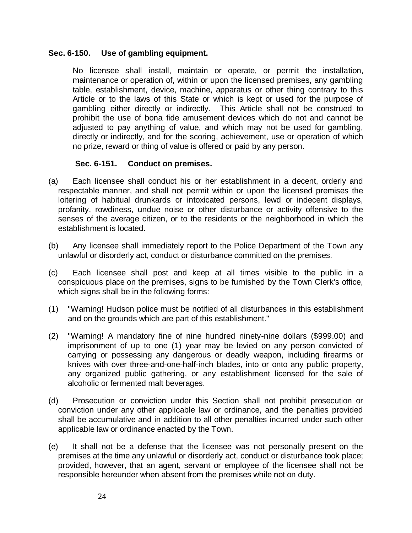#### **Sec. 6-150. Use of gambling equipment.**

No licensee shall install, maintain or operate, or permit the installation, maintenance or operation of, within or upon the licensed premises, any gambling table, establishment, device, machine, apparatus or other thing contrary to this Article or to the laws of this State or which is kept or used for the purpose of gambling either directly or indirectly. This Article shall not be construed to prohibit the use of bona fide amusement devices which do not and cannot be adjusted to pay anything of value, and which may not be used for gambling, directly or indirectly, and for the scoring, achievement, use or operation of which no prize, reward or thing of value is offered or paid by any person.

### **Sec. 6-151. Conduct on premises.**

- (a) Each licensee shall conduct his or her establishment in a decent, orderly and respectable manner, and shall not permit within or upon the licensed premises the loitering of habitual drunkards or intoxicated persons, lewd or indecent displays, profanity, rowdiness, undue noise or other disturbance or activity offensive to the senses of the average citizen, or to the residents or the neighborhood in which the establishment is located.
- (b) Any licensee shall immediately report to the Police Department of the Town any unlawful or disorderly act, conduct or disturbance committed on the premises.
- (c) Each licensee shall post and keep at all times visible to the public in a conspicuous place on the premises, signs to be furnished by the Town Clerk's office, which signs shall be in the following forms:
- (1) "Warning! Hudson police must be notified of all disturbances in this establishment and on the grounds which are part of this establishment."
- (2) "Warning! A mandatory fine of nine hundred ninety-nine dollars (\$999.00) and imprisonment of up to one (1) year may be levied on any person convicted of carrying or possessing any dangerous or deadly weapon, including firearms or knives with over three-and-one-half-inch blades, into or onto any public property, any organized public gathering, or any establishment licensed for the sale of alcoholic or fermented malt beverages.
- (d) Prosecution or conviction under this Section shall not prohibit prosecution or conviction under any other applicable law or ordinance, and the penalties provided shall be accumulative and in addition to all other penalties incurred under such other applicable law or ordinance enacted by the Town.
- (e) It shall not be a defense that the licensee was not personally present on the premises at the time any unlawful or disorderly act, conduct or disturbance took place; provided, however, that an agent, servant or employee of the licensee shall not be responsible hereunder when absent from the premises while not on duty.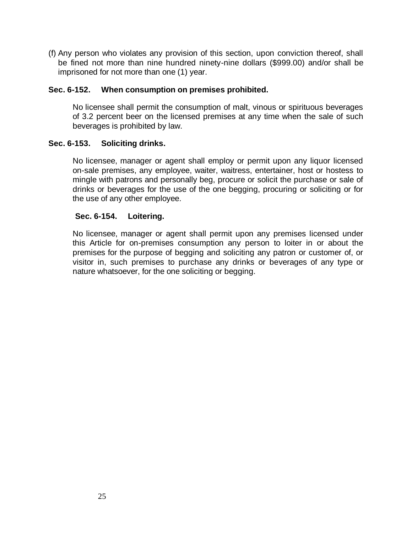(f) Any person who violates any provision of this section, upon conviction thereof, shall be fined not more than nine hundred ninety-nine dollars (\$999.00) and/or shall be imprisoned for not more than one (1) year.

### **Sec. 6-152. When consumption on premises prohibited.**

No licensee shall permit the consumption of malt, vinous or spirituous beverages of 3.2 percent beer on the licensed premises at any time when the sale of such beverages is prohibited by law.

### **Sec. 6-153. Soliciting drinks.**

No licensee, manager or agent shall employ or permit upon any liquor licensed on-sale premises, any employee, waiter, waitress, entertainer, host or hostess to mingle with patrons and personally beg, procure or solicit the purchase or sale of drinks or beverages for the use of the one begging, procuring or soliciting or for the use of any other employee.

#### **Sec. 6-154. Loitering.**

No licensee, manager or agent shall permit upon any premises licensed under this Article for on-premises consumption any person to loiter in or about the premises for the purpose of begging and soliciting any patron or customer of, or visitor in, such premises to purchase any drinks or beverages of any type or nature whatsoever, for the one soliciting or begging.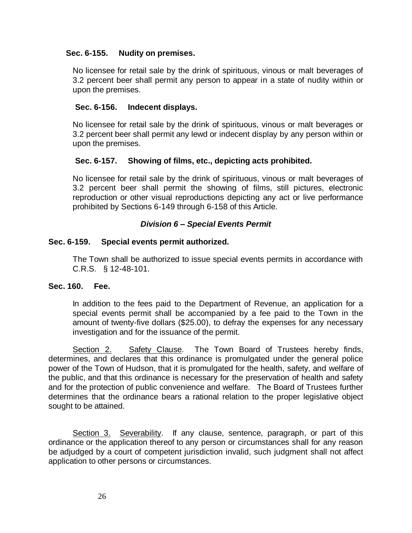### **Sec. 6-155. Nudity on premises.**

No licensee for retail sale by the drink of spirituous, vinous or malt beverages of 3.2 percent beer shall permit any person to appear in a state of nudity within or upon the premises.

#### **Sec. 6-156. Indecent displays.**

No licensee for retail sale by the drink of spirituous, vinous or malt beverages or 3.2 percent beer shall permit any lewd or indecent display by any person within or upon the premises.

### **Sec. 6-157. Showing of films, etc., depicting acts prohibited.**

No licensee for retail sale by the drink of spirituous, vinous or malt beverages of 3.2 percent beer shall permit the showing of films, still pictures, electronic reproduction or other visual reproductions depicting any act or live performance prohibited by Sections 6-149 through 6-158 of this Article.

#### *Division 6 – Special Events Permit*

#### **Sec. 6-159. Special events permit authorized.**

The Town shall be authorized to issue special events permits in accordance with C.R.S. § 12-48-101.

#### **Sec. 160. Fee.**

In addition to the fees paid to the Department of Revenue, an application for a special events permit shall be accompanied by a fee paid to the Town in the amount of twenty-five dollars (\$25.00), to defray the expenses for any necessary investigation and for the issuance of the permit.

Section 2.Safety Clause. The Town Board of Trustees hereby finds, determines, and declares that this ordinance is promulgated under the general police power of the Town of Hudson, that it is promulgated for the health, safety, and welfare of the public, and that this ordinance is necessary for the preservation of health and safety and for the protection of public convenience and welfare. The Board of Trustees further determines that the ordinance bears a rational relation to the proper legislative object sought to be attained.

Section 3. Severability. If any clause, sentence, paragraph, or part of this ordinance or the application thereof to any person or circumstances shall for any reason be adjudged by a court of competent jurisdiction invalid, such judgment shall not affect application to other persons or circumstances.